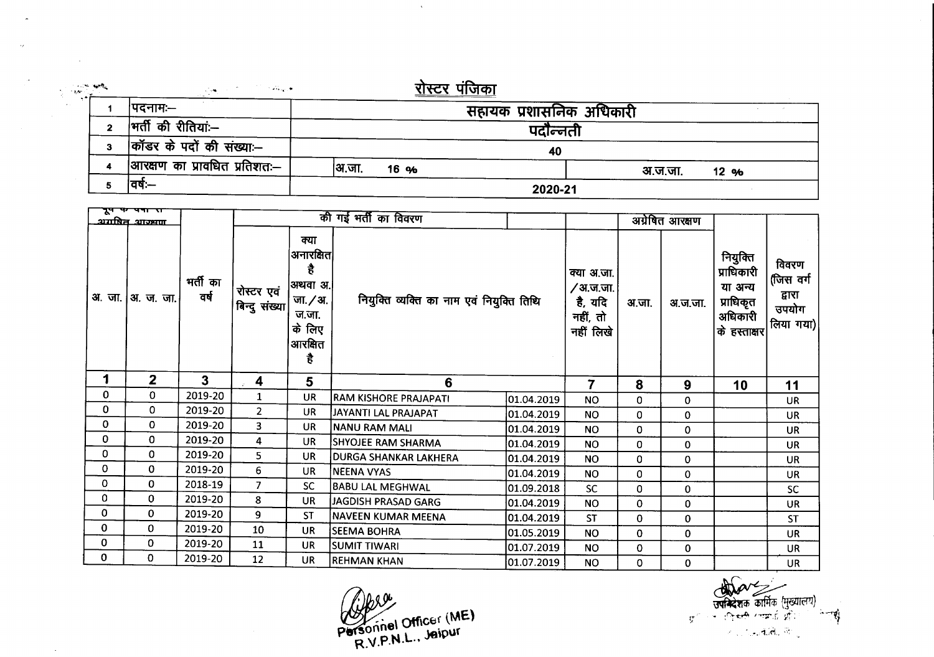| $\sim 100\, \rm{Mpc}$ | والعيه عنازل | <u>रो</u> स्टर पंजिका<br>$\sim 100$ and $\sim 10$ |                         |                 |  |  |  |  |  |  |
|-----------------------|--------------|---------------------------------------------------|-------------------------|-----------------|--|--|--|--|--|--|
|                       |              | ।पदनामः—                                          | सहायक प्रशासनिक अधिकारी |                 |  |  |  |  |  |  |
|                       | 2            | भर्ती की रीतियां:--                               | पदोन्नती                |                 |  |  |  |  |  |  |
|                       |              | कॉडर के पदों की संख्याः--                         | 40                      |                 |  |  |  |  |  |  |
|                       |              | आरक्षण का प्रावधित प्रतिशतः—                      | अ.जा.<br>16 %           | अ.ज.जा.<br>12 % |  |  |  |  |  |  |
|                       |              | ।वर्षः—                                           | 2020-21                 |                 |  |  |  |  |  |  |

 $\bar{\Delta}$ 

| $\mathbf{A}$<br>अगपित आज्ञ्यण |                |                  |                             |                                                                                      | की गई भर्ती का विवरण                      |            |                                                             |             | अग्रेषित आरक्षण |                                                                                        |                                                    |
|-------------------------------|----------------|------------------|-----------------------------|--------------------------------------------------------------------------------------|-------------------------------------------|------------|-------------------------------------------------------------|-------------|-----------------|----------------------------------------------------------------------------------------|----------------------------------------------------|
| अ. जा.                        | आ. ज. जा.      | मर्ती का<br>वर्ष | रोस्टर एवं<br>बिन्दु संख्या | क्या<br>अनारक्षित<br>है<br> अथवा अ. <br>जा. / अ.<br>ज.जा.<br>के लिए<br>आरक्षित<br>है | नियुक्ति व्यक्ति का नाम एवं नियुक्ति तिथि |            | क्या अ.जा.<br>∕ अ.ज.जा.<br>है, यदि<br>नहीं, तो<br>नहीं लिखे | अ.जा.       | अ.ज.जा.         | नियुक्ति<br>प्राधिकारी<br>या अन्य<br>प्राधिकृत<br>अधिकारी<br><sub>।</sub> के हस्ताक्षर | विवरण<br>(जिस वर्ग<br>द्वारा<br>उपयोग<br>लिया गया) |
| 1                             | $\overline{2}$ | 3                | 4                           | $5\phantom{.0}$                                                                      | 6                                         |            | 7                                                           | 8           | 9               | 10                                                                                     | 11                                                 |
| 0                             | 0              | 2019-20          | $\mathbf{1}$                | <b>UR</b>                                                                            | <b>RAM KISHORE PRAJAPATI</b>              | 01.04.2019 | <b>NO</b>                                                   | 0           | 0               |                                                                                        | <b>UR</b>                                          |
| 0                             | 0              | 2019-20          | $\overline{2}$              | <b>UR</b>                                                                            | JAYANTI LAL PRAJAPAT                      | 01.04.2019 | NO.                                                         | 0           | 0               |                                                                                        | UR.                                                |
| 0                             | 0              | 2019-20          | $\overline{3}$              | <b>UR</b>                                                                            | NANU RAM MALI                             | 01.04.2019 | <b>NO</b>                                                   | 0           | $\mathbf 0$     |                                                                                        | <b>UR</b>                                          |
| 0                             | 0              | 2019-20          | 4                           | UR.                                                                                  | SHYOJEE RAM SHARMA                        | 01.04.2019 | <b>NO</b>                                                   | 0           | $\mathbf 0$     |                                                                                        | <b>UR</b>                                          |
| 0                             | $\mathbf 0$    | 2019-20          | 5                           | <b>UR</b>                                                                            | <b>DURGA SHANKAR LAKHERA</b>              | 01.04.2019 | <b>NO</b>                                                   | 0           | 0               |                                                                                        | <b>UR</b>                                          |
| 0                             | 0              | 2019-20          | 6                           | <b>UR</b>                                                                            | INEENA VYAS                               | 01.04.2019 | N <sub>O</sub>                                              | 0           | 0               |                                                                                        | UR                                                 |
| 0                             | $\mathbf 0$    | 2018-19          | $\overline{7}$              | <b>SC</b>                                                                            | <b>BABU LAL MEGHWAL</b>                   | 01.09.2018 | <b>SC</b>                                                   | 0           | $\mathbf 0$     |                                                                                        | <b>SC</b>                                          |
| 0                             | $\Omega$       | 2019-20          | 8                           | <b>UR</b>                                                                            | IJAGDISH PRASAD GARG                      | 01.04.2019 | <b>NO</b>                                                   | 0           | 0               |                                                                                        | <b>UR</b>                                          |
| 0                             | $\Omega$       | 2019-20          | 9                           | <b>ST</b>                                                                            | NAVEEN KUMAR MEENA                        | 01.04.2019 | <b>ST</b>                                                   | 0           | $\mathbf 0$     |                                                                                        | <b>ST</b>                                          |
| $\mathbf 0$                   | $\mathbf{0}$   | 2019-20          | 10                          | <b>UR</b>                                                                            | <b>SEEMA BOHRA</b>                        | 01.05.2019 | <b>NO</b>                                                   | 0           | $\mathbf 0$     |                                                                                        | <b>UR</b>                                          |
| 0                             | 0              | 2019-20          | 11                          | UR                                                                                   | <b>SUMIT TIWARI</b>                       | 01.07.2019 | <b>NO</b>                                                   | $\mathbf 0$ | 0               |                                                                                        | <b>UR</b>                                          |
| $\mathbf{0}$                  | 0              | 2019-20          | 12                          | <b>UR</b>                                                                            | <b>REHMAN KHAN</b>                        | 01.07.2019 | <b>NO</b>                                                   | 0           | 0               |                                                                                        | <b>UR</b>                                          |

Joea  $W^{\text{total}}$  Officer (ME) **~~~, <sup>L</sup> Jetpur** R.V.P"" .•

 $\sim$   $\sim$ 

**ज्यान्देशक कार्मिक** ( - : <del>्रिकारी</del> / गाक्राई और <sup>: /</sup> <sup>:</sup>ेगा**री** *".»,* -1.;M.. ,.: